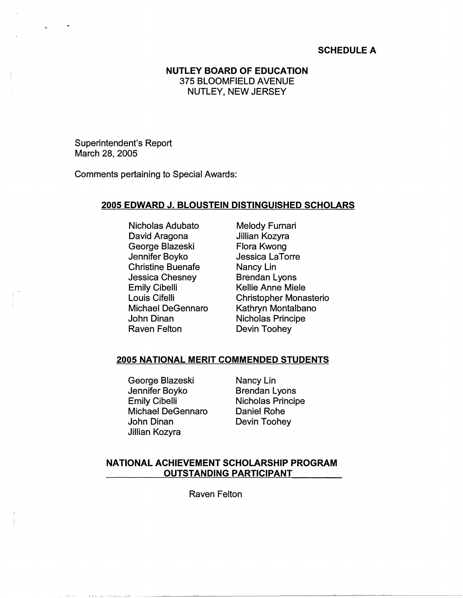## **SCHEDULE A**

# **NUTLEY BOARD OF EDUCATION**  375 BLOOMFIELD AVENUE NUTLEY, NEW JERSEY .

Superintendent's Report March 28, 2005

Comments pertaining to Special Awards:

## **2005 EDWARD J. BLOUSTEIN DISTINGUISHED SCHOLARS**

Nicholas Adubato David Aragona George Blazeski Jennifer Boyko Christine Buenafe Jessica Chesney Emily Cibelli Louis Cifelli Michael DeGennaro John Dinan Raven Felton

Melody Furnari Jillian Kozyra Flora Kwong Jessica LaTorre Nancy Lin Brendan Lyons Kellie Anne Miele Christopher Monasterio Kathryn Montalbano Nicholas Principe Devin Toohey

## **2005 NATIONAL MERIT COMMENDED STUDENTS**

George Blazeski Jennifer Boyko Emily Cibelli Michael DeGennaro John Dinan Jillian Kozyra

Nancy Lin Brendan Lyons Nicholas Principe Daniel Rohe Devin Toohey

#### **NATIONAL ACHIEVEMENT SCHOLARSHIP PROGRAM OUTSTANDING PARTICIPANT**

Raven Felton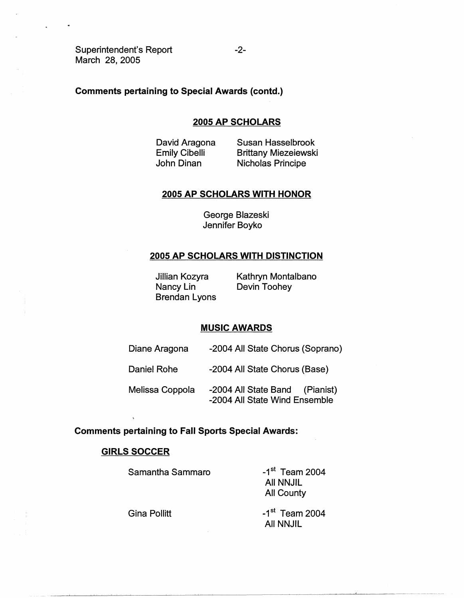Superintendent's Report March 28, 2005

## **Comments pertaining to Special Awards (contd.)**

#### **2005 AP SCHOLARS**

David Aragona Emily Cibelli John Dinan

Susan Hasselbrook Brittany Miezeiewski Nicholas Principe

#### **2005 AP SCHOLARS WITH HONOR**

George Blazeski Jennifer Boyko

#### **2005 AP SCHOLARS WITH DISTINCTION**

Jillian Kozyra Nancy Lin Brendan Lyons Kathryn Montalbano Devin Toohey

#### **MUSIC AWARDS**

- Diane Aragona -2004 All State Chorus (Soprano)
- Daniel Rohe -2004 All State Chorus (Base)

Melissa Coppola -2004 All State Band (Pianist) -2004 All State Wind Ensemble

#### **Comments pertaining to Fall Sports Special Awards:**

## **GIRLS SOCCER**

Samantha Sammaro

 $-1<sup>st</sup>$  Team 2004 All NNJIL All County

Gina Pollitt

 $-1$ <sup>st</sup> Team 2004 All NNJIL